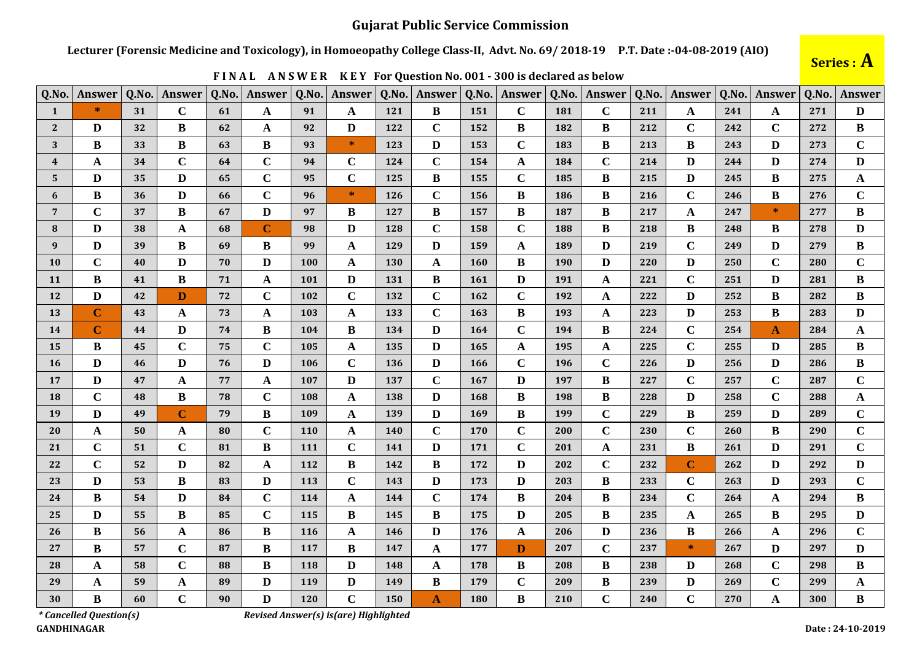## **Gujarat Public Service Commission**

Lecturer (Forensic Medicine and Toxicology), in Homoeopathy College Class-II, Advt. No. 69/2018-19 P.T. Date:-04-08-2019 (AIO)

| Q.No.                   | <b>Answer</b> | Q.No. | <b>Answer</b> | Q.No. | Answer         | Q.No.      | Answer       | Q.No. | Answer       | Q.No.      | Answer       | Q.No. | Answer       | Q.No. | Answer      | Q.No. | Answer      | Q.No. | Answer       |
|-------------------------|---------------|-------|---------------|-------|----------------|------------|--------------|-------|--------------|------------|--------------|-------|--------------|-------|-------------|-------|-------------|-------|--------------|
| $\mathbf{1}$            | $\ast$        | 31    | $\mathbf C$   | 61    | $\mathbf A$    | 91         | A            | 121   | B            | 151        | $\mathbf C$  | 181   | $\mathbf C$  | 211   | A           | 241   | A           | 271   | D            |
| 2 <sup>2</sup>          | D             | 32    | B             | 62    | A              | 92         | D            | 122   | $\mathbf C$  | 152        | B            | 182   | B            | 212   | $\mathbf C$ | 242   | $\mathbf C$ | 272   | B            |
| 3                       | B             | 33    | B             | 63    | $\bf{B}$       | 93         | $\ast$       | 123   | D            | 153        | $\mathbf C$  | 183   | B            | 213   | B           | 243   | D           | 273   | $\mathbf C$  |
| $\overline{\mathbf{4}}$ | $\mathbf A$   | 34    | $\mathbf C$   | 64    | $\mathbf C$    | 94         | $\mathbf C$  | 124   | $\mathbf C$  | 154        | A            | 184   | $\mathbf C$  | 214   | D           | 244   | D           | 274   | D            |
| $5^{\circ}$             | D             | 35    | D             | 65    | $\mathbf C$    | 95         | $\mathbf C$  | 125   | B            | 155        | $\mathbf C$  | 185   | B            | 215   | D           | 245   | B           | 275   | $\mathbf{A}$ |
| 6                       | B             | 36    | D             | 66    | $\mathbf C$    | 96         | $\ast$       | 126   | $\mathbf C$  | 156        | B            | 186   | B            | 216   | $\mathbf C$ | 246   | B           | 276   | $\mathbf C$  |
| $7\overline{ }$         | $\mathbf C$   | 37    | B             | 67    | $\mathbf{D}$   | 97         | B            | 127   | B            | 157        | $\bf{B}$     | 187   | $\bf{B}$     | 217   | A           | 247   | $\ast$      | 277   | B            |
| 8                       | D             | 38    | A             | 68    | $\overline{C}$ | 98         | D            | 128   | $\mathbf C$  | 158        | $\mathbf C$  | 188   | B            | 218   | B           | 248   | B           | 278   | D            |
| 9                       | D             | 39    | B             | 69    | $\bf{B}$       | 99         | A            | 129   | D            | 159        | A            | 189   | $\mathbf{D}$ | 219   | $\mathbf C$ | 249   | D           | 279   | $\bf{B}$     |
| 10                      | $\mathbf C$   | 40    | D             | 70    | D              | 100        | A            | 130   | $\mathbf{A}$ | <b>160</b> | B            | 190   | D            | 220   | D           | 250   | $\mathbf C$ | 280   | $\mathbf C$  |
| 11                      | $\bf{B}$      | 41    | B             | 71    | $\mathbf A$    | 101        | D            | 131   | B            | <b>161</b> | D            | 191   | A            | 221   | $\mathbf C$ | 251   | D           | 281   | $\bf{B}$     |
| 12                      | D             | 42    | D             | 72    | $\mathbf C$    | 102        | $\mathbf C$  | 132   | $\mathbf C$  | <b>162</b> | $\mathbf C$  | 192   | A            | 222   | D           | 252   | B           | 282   | B            |
| 13                      | $\mathbf C$   | 43    | $\mathbf{A}$  | 73    | $\mathbf A$    | 103        | A            | 133   | $\mathbf C$  | 163        | B            | 193   | A            | 223   | D           | 253   | B           | 283   | D            |
| 14                      | $\mathbf C$   | 44    | D             | 74    | $\bf{B}$       | 104        | B            | 134   | D            | <b>164</b> | $\mathbf C$  | 194   | $\bf{B}$     | 224   | $\mathbf C$ | 254   | A           | 284   | $\mathbf{A}$ |
| 15                      | B             | 45    | $\mathbf C$   | 75    | $\mathbf C$    | 105        | A            | 135   | D            | 165        | A            | 195   | A            | 225   | $\mathbf C$ | 255   | D           | 285   | B            |
| <b>16</b>               | D             | 46    | D             | 76    | D              | 106        | $\mathbf C$  | 136   | D            | 166        | $\mathbf C$  | 196   | $\mathbf C$  | 226   | D           | 256   | D           | 286   | B            |
| 17                      | D             | 47    | $\mathbf{A}$  | 77    | $\mathbf A$    | 107        | $\mathbf{D}$ | 137   | $\mathbf C$  | 167        | $\mathbf{D}$ | 197   | $\bf{B}$     | 227   | $\mathbf C$ | 257   | $\mathbf C$ | 287   | $\mathbf C$  |
| 18                      | $\mathbf C$   | 48    | B             | 78    | $\mathbf C$    | 108        | A            | 138   | D            | 168        | B            | 198   | B            | 228   | D           | 258   | $\mathbf C$ | 288   | A            |
| 19                      | D             | 49    | $\mathbf C$   | 79    | $\bf{B}$       | 109        | A            | 139   | D            | 169        | B            | 199   | $\mathbf C$  | 229   | B           | 259   | D           | 289   | $\mathbf C$  |
| 20                      | A             | 50    | A             | 80    | $\mathbf C$    | 110        | A            | 140   | $\mathbf C$  | 170        | $\mathbf C$  | 200   | $\mathbf C$  | 230   | $\mathbf C$ | 260   | B           | 290   | $\mathbf C$  |
| 21                      | $\mathbf C$   | 51    | $\mathbf C$   | 81    | $\bf{B}$       | 111        | $\mathbf C$  | 141   | D            | 171        | $\mathbf C$  | 201   | A            | 231   | B           | 261   | D           | 291   | $\mathbf C$  |
| 22                      | $\mathbf C$   | 52    | D             | 82    | $\mathbf A$    | 112        | B            | 142   | B            | 172        | D            | 202   | $\mathbf C$  | 232   | $\mathbf C$ | 262   | D           | 292   | D            |
| 23                      | D             | 53    | B             | 83    | $\mathbf{D}$   | 113        | $\mathbf C$  | 143   | D            | 173        | D            | 203   | B            | 233   | $\mathbf C$ | 263   | D           | 293   | $\mathbf C$  |
| 24                      | B             | 54    | D             | 84    | $\mathbf C$    | 114        | A            | 144   | $\mathbf C$  | 174        | B            | 204   | B            | 234   | $\mathbf C$ | 264   | A           | 294   | B            |
| 25                      | D             | 55    | B             | 85    | $\mathbf C$    | 115        | B            | 145   | B            | 175        | D            | 205   | B            | 235   | $\mathbf A$ | 265   | B           | 295   | $\mathbf{D}$ |
| 26                      | B             | 56    | A             | 86    | $\bf{B}$       | <b>116</b> | A            | 146   | D            | 176        | $\mathbf A$  | 206   | D            | 236   | B           | 266   | A           | 296   | $\mathbf C$  |
| 27                      | B             | 57    | $\mathbf C$   | 87    | $\bf{B}$       | 117        | $\bf{B}$     | 147   | A            | 177        | D            | 207   | $\mathbf C$  | 237   | $\ast$      | 267   | D           | 297   | $\mathbf{D}$ |
| 28                      | A             | 58    | $\mathbf C$   | 88    | $\bf{B}$       | 118        | D            | 148   | A            | 178        | B            | 208   | B            | 238   | D           | 268   | $\mathbf C$ | 298   | B            |
| 29                      | A             | 59    | A             | 89    | $\mathbf{D}$   | 119        | D            | 149   | B            | 179        | $\mathbf C$  | 209   | B            | 239   | D           | 269   | $\mathbf C$ | 299   | $\mathbf A$  |
| 30                      | B             | 60    | $\mathbf C$   | 90    | D              | 120        | $\mathbf C$  | 150   | $\mathbf{A}$ | <b>180</b> | B            | 210   | $\mathbf C$  | 240   | $\mathbf C$ | 270   | A           | 300   | $\bf{B}$     |

FINAL ANSWER KEY For Question No. 001 - 300 is declared as below



*\* Cancelled Question(s)* **GANDHINAGAR** 

Revised Answer(s) is(are) Highlighted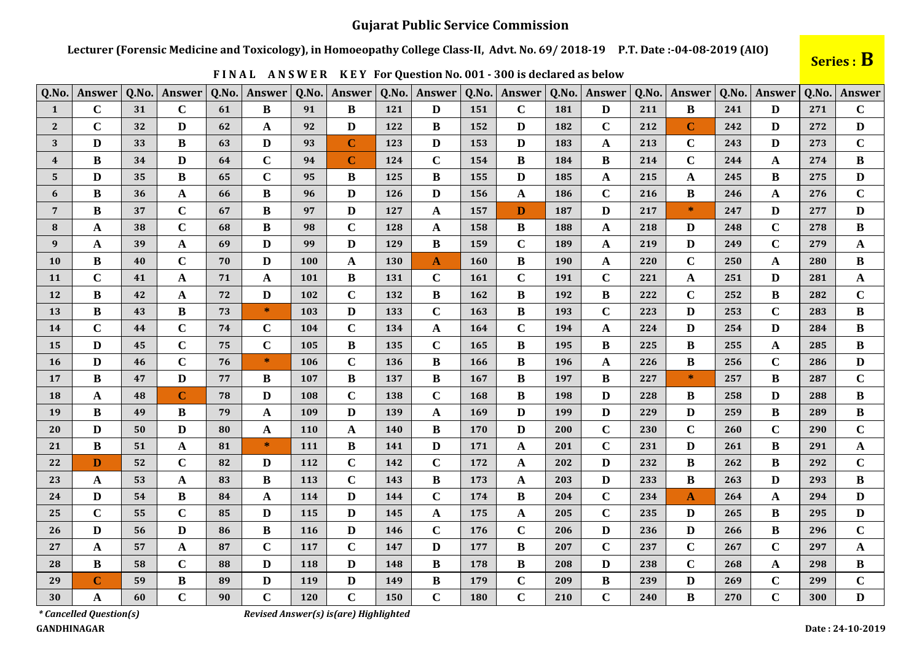Lecturer (Forensic Medicine and Toxicology), in Homoeopathy College Class-II, Advt. No. 69/2018-19 P.T. Date:-04-08-2019 (AIO)

| Q.No.          | Answer       | Q.No. | Answer       | Q.No. | Answer       | Q.No.      | Answer       | Q.No.      | Answer       | Q.No.      | Answer       | Q.No. | Answer       | Q.No. | Answer       | Q.No. | Answer       | Q.No. | Answer       |
|----------------|--------------|-------|--------------|-------|--------------|------------|--------------|------------|--------------|------------|--------------|-------|--------------|-------|--------------|-------|--------------|-------|--------------|
| $\mathbf{1}$   | $\mathbf C$  | 31    | $\mathbf C$  | 61    | B            | 91         | B            | 121        | D            | 151        | $\mathbf C$  | 181   | D            | 211   | B            | 241   | D            | 271   | $\mathbf C$  |
| $\overline{2}$ | $\mathbf C$  | 32    | D            | 62    | $\mathbf A$  | 92         | D            | 122        | B            | 152        | D            | 182   | $\mathbf C$  | 212   | $\mathbf C$  | 242   | D            | 272   | D            |
| 3              | D            | 33    | B            | 63    | $\mathbf D$  | 93         | $\mathbf C$  | 123        | D            | 153        | D            | 183   | A            | 213   | $\mathbf C$  | 243   | D            | 273   | $\mathbf C$  |
| $\overline{4}$ | B            | 34    | D            | 64    | $\mathbf C$  | 94         | $\mathbf C$  | 124        | $\mathbf C$  | 154        | B            | 184   | B            | 214   | $\mathbf C$  | 244   | A            | 274   | $\bf{B}$     |
| 5              | D            | 35    | $\bf{B}$     | 65    | $\mathbf C$  | 95         | B            | 125        | $\bf{B}$     | 155        | D            | 185   | $\mathbf A$  | 215   | A            | 245   | B            | 275   | $\mathbf{D}$ |
| 6              | B            | 36    | A            | 66    | $\bf{B}$     | 96         | D            | 126        | D            | 156        | A            | 186   | $\mathbf C$  | 216   | $\bf{B}$     | 246   | A            | 276   | $\mathbf C$  |
| $\overline{7}$ | B            | 37    | $\mathbf C$  | 67    | $\bf{B}$     | 97         | D            | 127        | A            | 157        | D            | 187   | D            | 217   | $\ast$       | 247   | D            | 277   | D            |
| 8              | A            | 38    | $\mathbf C$  | 68    | $\, {\bf B}$ | 98         | $\mathbf C$  | 128        | A            | 158        | $\bf{B}$     | 188   | A            | 218   | D            | 248   | $\mathbf C$  | 278   | $\bf{B}$     |
| 9              | A            | 39    | A            | 69    | $\mathbf D$  | 99         | D            | 129        | B            | 159        | $\mathbf C$  | 189   | $\mathbf A$  | 219   | D            | 249   | $\mathbf C$  | 279   | $\mathbf A$  |
| <b>10</b>      | B            | 40    | $\mathbf C$  | 70    | $\mathbf D$  | 100        | $\mathbf{A}$ | <b>130</b> | $\mathbf{A}$ | <b>160</b> | B            | 190   | $\mathbf A$  | 220   | $\mathbf C$  | 250   | $\mathbf{A}$ | 280   | $\bf{B}$     |
| <b>11</b>      | $\mathbf C$  | 41    | A            | 71    | $\mathbf{A}$ | 101        | B            | 131        | $\mathbf C$  | <b>161</b> | $\mathbf C$  | 191   | $\mathbf C$  | 221   | $\mathbf{A}$ | 251   | D            | 281   | $\mathbf A$  |
| 12             | B            | 42    | $\mathbf{A}$ | 72    | $\mathbf D$  | 102        | $\mathbf C$  | 132        | B            | 162        | $\bf{B}$     | 192   | B            | 222   | $\mathbf C$  | 252   | B            | 282   | $\mathbf C$  |
| 13             | $\bf{B}$     | 43    | B            | 73    | $\ast$       | 103        | D            | 133        | $\mathbf C$  | 163        | $\bf{B}$     | 193   | $\mathbf C$  | 223   | D            | 253   | $\mathbf C$  | 283   | $\bf{B}$     |
| 14             | $\mathbf C$  | 44    | $\mathbf C$  | 74    | $\mathbf C$  | 104        | $\mathbf C$  | 134        | A            | <b>164</b> | $\mathbf C$  | 194   | A            | 224   | D            | 254   | D            | 284   | $\bf{B}$     |
| 15             | D            | 45    | $\mathbf C$  | 75    | $\mathbf C$  | 105        | B            | 135        | $\mathbf C$  | 165        | B            | 195   | B            | 225   | B            | 255   | $\mathbf A$  | 285   | $\bf{B}$     |
| <b>16</b>      | D            | 46    | $\mathbf C$  | 76    | $\ast$       | 106        | $\mathbf C$  | 136        | B            | <b>166</b> | B            | 196   | A            | 226   | B            | 256   | $\mathbf C$  | 286   | D            |
| 17             | B            | 47    | D            | 77    | $\bf{B}$     | 107        | B            | 137        | B            | 167        | B            | 197   | $\bf{B}$     | 227   | $\ast$       | 257   | B            | 287   | $\mathbf C$  |
| 18             | $\mathbf A$  | 48    | $\mathbf C$  | 78    | $\mathbf D$  | 108        | $\mathbf C$  | 138        | $\mathbf C$  | 168        | $\bf{B}$     | 198   | $\mathbf{D}$ | 228   | $\bf{B}$     | 258   | D            | 288   | $\, {\bf B}$ |
| 19             | B            | 49    | В            | 79    | $\mathbf{A}$ | 109        | D            | 139        | A            | 169        | D            | 199   | D            | 229   | D            | 259   | B            | 289   | B            |
| 20             | D            | 50    | D            | 80    | $\mathbf{A}$ | <b>110</b> | $\mathbf{A}$ | <b>140</b> | B            | 170        | D            | 200   | $\mathbf C$  | 230   | $\mathbf C$  | 260   | $\mathbf C$  | 290   | $\mathbf C$  |
| 21             | $\bf{B}$     | 51    | A            | 81    | $\ast$       | 111        | $\bf{B}$     | 141        | D            | 171        | A            | 201   | $\mathbf C$  | 231   | D            | 261   | $\bf{B}$     | 291   | $\mathbf{A}$ |
| 22             | D            | 52    | $\mathbf C$  | 82    | $\mathbf D$  | 112        | $\mathbf C$  | 142        | $\mathbf C$  | 172        | $\mathbf{A}$ | 202   | D            | 232   | B            | 262   | B            | 292   | $\mathbf C$  |
| 23             | $\mathbf{A}$ | 53    | A            | 83    | $\bf{B}$     | 113        | $\mathbf C$  | 143        | B            | 173        | A            | 203   | $\mathbf{D}$ | 233   | B            | 263   | D            | 293   | $\bf{B}$     |
| 24             | D            | 54    | B            | 84    | $\mathbf A$  | 114        | D            | 144        | $\mathbf C$  | 174        | B            | 204   | $\mathbf C$  | 234   | $\mathbf A$  | 264   | A            | 294   | D            |
| 25             | $\mathbf C$  | 55    | $\mathbf C$  | 85    | $\mathbf{D}$ | 115        | D            | 145        | A            | 175        | A            | 205   | $\mathbf C$  | 235   | D            | 265   | B            | 295   | D            |
| 26             | $\mathbf{D}$ | 56    | $\mathbf{D}$ | 86    | $\, {\bf B}$ | <b>116</b> | $\mathbf{D}$ | 146        | $\mathbf C$  | 176        | $\mathbf C$  | 206   | $\mathbf{D}$ | 236   | D            | 266   | $\bf{B}$     | 296   | $\mathbf C$  |
| 27             | $\mathbf A$  | 57    | $\mathbf{A}$ | 87    | $\mathbf C$  | 117        | $\mathbf C$  | 147        | D            | 177        | $\bf{B}$     | 207   | $\mathbf C$  | 237   | $\mathbf C$  | 267   | $\mathbf C$  | 297   | $\mathbf A$  |
| 28             | B            | 58    | $\mathbf C$  | 88    | $\mathbf D$  | 118        | $\mathbf{D}$ | 148        | B            | 178        | $\bf{B}$     | 208   | $\mathbf{D}$ | 238   | $\mathbf C$  | 268   | A            | 298   | B            |
| 29             | $\mathbf C$  | 59    | B            | 89    | $\mathbf D$  | 119        | $\mathbf{D}$ | 149        | $\bf{B}$     | 179        | $\mathbf C$  | 209   | B            | 239   | D            | 269   | $\mathbf C$  | 299   | $\mathbf C$  |
| 30             | $\mathbf A$  | 60    | $\mathbf C$  | 90    | $\mathbf C$  | 120        | $\mathbf C$  | 150        | $\mathbf C$  | <b>180</b> | $\mathbf C$  | 210   | $\mathbf C$  | 240   | $\bf{B}$     | 270   | $\mathbf C$  | 300   | $\mathbf{D}$ |

FINAL ANSWER KEY For Question No. 001 - 300 is declared as below

Series : B

\*Cancelled Question(s)

Revised Answer(s) is(are) Highlighted

**GANDHINAGAR**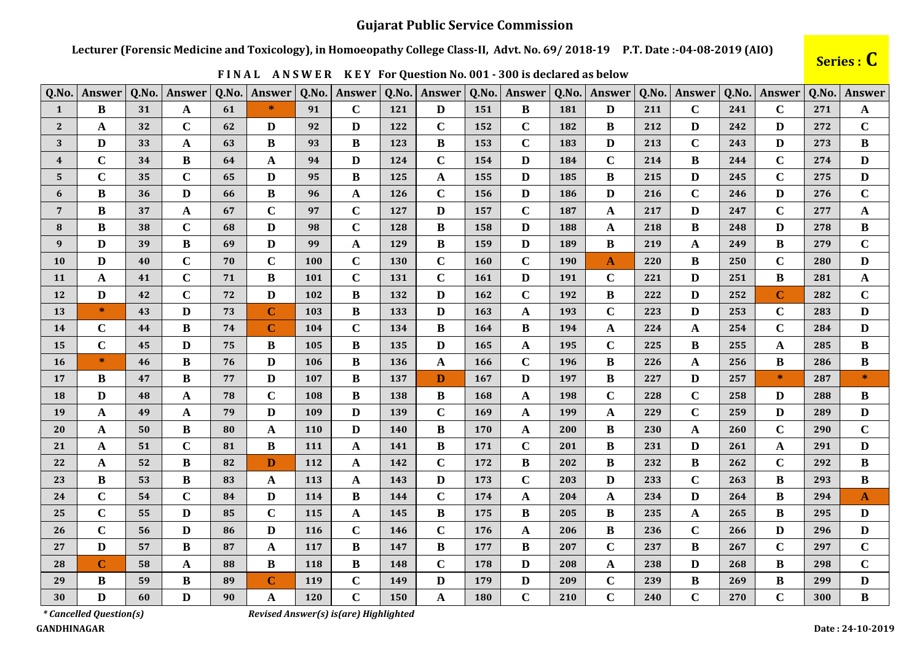## **Gujarat Public Service Commission**

Lecturer (Forensic Medicine and Toxicology), in Homoeopathy College Class-II, Advt. No. 69/2018-19 P.T. Date:-04-08-2019 (AIO)

| Q.No.          | Answer      | Q.No. | Answer      | Q.No. | <b>Answer</b> | Q.No.      | Answer      | Q.No.      | Answer      | Q.No.      | Answer       | Q.No. | Answer       | Q.No. | Answer       | Q.No. | <b>Answer</b> | Q.No. | <b>Answer</b> |
|----------------|-------------|-------|-------------|-------|---------------|------------|-------------|------------|-------------|------------|--------------|-------|--------------|-------|--------------|-------|---------------|-------|---------------|
| $\mathbf{1}$   | B           | 31    | A           | 61    | $\ast$        | 91         | $\mathbf C$ | 121        | D           | 151        | B            | 181   | D            | 211   | $\mathbf C$  | 241   | $\mathbf C$   | 271   | A             |
| $\mathbf{2}$   | A           | 32    | $\mathbf C$ | 62    | D             | 92         | D           | 122        | $\mathbf C$ | 152        | $\mathbf C$  | 182   | B            | 212   | D            | 242   | D             | 272   | $\mathbf C$   |
| 3              | D           | 33    | A           | 63    | B             | 93         | B           | <b>123</b> | B           | 153        | $\mathbf C$  | 183   | D            | 213   | $\mathbf C$  | 243   | D             | 273   | $\bf{B}$      |
| $\overline{4}$ | $\mathbf C$ | 34    | B           | 64    | $\mathbf{A}$  | 94         | D           | 124        | $\mathbf C$ | 154        | D            | 184   | $\mathbf C$  | 214   | B            | 244   | $\mathbf C$   | 274   | D             |
| 5              | $\mathbf C$ | 35    | $\mathbf C$ | 65    | D             | 95         | B           | 125        | A           | 155        | D            | 185   | B            | 215   | D            | 245   | $\mathbf C$   | 275   | D             |
| 6              | B           | 36    | D           | 66    | B             | 96         | A           | <b>126</b> | $\mathbf C$ | 156        | D            | 186   | D            | 216   | $\mathbf C$  | 246   | D             | 276   | $\mathbf C$   |
| $\overline{7}$ | B           | 37    | $\mathbf A$ | 67    | $\mathbf C$   | 97         | $\mathbf C$ | 127        | D           | 157        | $\mathbf C$  | 187   | $\mathbf A$  | 217   | D            | 247   | $\mathbf C$   | 277   | $\mathbf A$   |
| 8              | B           | 38    | $\mathbf C$ | 68    | $\mathbf{D}$  | 98         | $\mathbf C$ | <b>128</b> | B           | 158        | D            | 188   | A            | 218   | B            | 248   | D             | 278   | B             |
| 9              | D           | 39    | B           | 69    | D             | 99         | A           | 129        | B           | 159        | D            | 189   | $\bf{B}$     | 219   | A            | 249   | B             | 279   | $\mathbf C$   |
| <b>10</b>      | D           | 40    | $\mathbf C$ | 70    | $\mathbf C$   | <b>100</b> | $\mathbf C$ | <b>130</b> | $\mathbf C$ | <b>160</b> | $\mathbf C$  | 190   | $\mathbf{A}$ | 220   | B            | 250   | $\mathbf C$   | 280   | D             |
| 11             | A           | 41    | $\mathbf C$ | 71    | B             | 101        | $\mathbf C$ | <b>131</b> | $\mathbf C$ | 161        | $\mathbf{D}$ | 191   | $\mathbf C$  | 221   | D            | 251   | B             | 281   | $\mathbf A$   |
| 12             | D           | 42    | $\mathbf C$ | 72    | $\mathbf{D}$  | 102        | B           | 132        | D           | 162        | $\mathbf C$  | 192   | B            | 222   | D            | 252   | $\mathbf C$   | 282   | $\mathbf C$   |
| 13             | $\ast$      | 43    | D           | 73    | $\mathbf C$   | 103        | B           | 133        | D           | 163        | $\mathbf A$  | 193   | $\mathbf C$  | 223   | D            | 253   | $\mathbf C$   | 283   | D             |
| 14             | $\mathbf C$ | 44    | B           | 74    | $\mathbf C$   | 104        | $\mathbf C$ | 134        | B           | 164        | B            | 194   | A            | 224   | A            | 254   | $\mathbf C$   | 284   | D             |
| 15             | $\mathbf C$ | 45    | D           | 75    | B             | 105        | B           | 135        | D           | 165        | $\mathbf A$  | 195   | $\mathbf C$  | 225   | B            | 255   | $\mathbf A$   | 285   | B             |
| <b>16</b>      | $\ast$      | 46    | B           | 76    | D             | 106        | B           | 136        | A           | 166        | $\mathbf C$  | 196   | B            | 226   | A            | 256   | B             | 286   | B             |
| 17             | B           | 47    | $\bf{B}$    | 77    | $\mathbf{D}$  | 107        | B           | 137        | D           | 167        | $\mathbf{D}$ | 197   | B            | 227   | D            | 257   | $\ast$        | 287   | $\ast$        |
| 18             | D           | 48    | A           | 78    | $\mathbf C$   | 108        | B           | 138        | B           | 168        | A            | 198   | $\mathbf C$  | 228   | $\mathbf C$  | 258   | D             | 288   | B             |
| 19             | A           | 49    | A           | 79    | D             | 109        | D           | 139        | $\mathbf C$ | 169        | A            | 199   | A            | 229   | $\mathbf C$  | 259   | D             | 289   | D             |
| 20             | A           | 50    | B           | 80    | $\mathbf{A}$  | <b>110</b> | D           | <b>140</b> | B           | 170        | A            | 200   | $\bf{B}$     | 230   | $\mathbf{A}$ | 260   | $\mathbf C$   | 290   | $\mathbf C$   |
| 21             | A           | 51    | $\mathbf C$ | 81    | B             | 111        | A           | <b>141</b> | B           | 171        | $\mathbf C$  | 201   | B            | 231   | D            | 261   | A             | 291   | D             |
| 22             | A           | 52    | B           | 82    | D             | 112        | A           | 142        | $\mathbf C$ | 172        | B            | 202   | B            | 232   | B            | 262   | $\mathbf C$   | 292   | B             |
| 23             | B           | 53    | B           | 83    | $\mathbf{A}$  | 113        | A           | 143        | D           | 173        | $\mathbf C$  | 203   | D            | 233   | $\mathbf C$  | 263   | B             | 293   | $\bf{B}$      |
| 24             | $\mathbf C$ | 54    | $\mathbf C$ | 84    | D             | 114        | B           | 144        | $\mathbf C$ | 174        | A            | 204   | A            | 234   | D            | 264   | B             | 294   | $\mathbf{A}$  |
| 25             | $\mathbf C$ | 55    | D           | 85    | $\mathbf C$   | 115        | A           | 145        | B           | 175        | B            | 205   | $\bf{B}$     | 235   | A            | 265   | B             | 295   | D             |
| 26             | $\mathbf C$ | 56    | D           | 86    | D             | <b>116</b> | $\mathbf C$ | 146        | $\mathbf C$ | 176        | $\mathbf A$  | 206   | B            | 236   | $\mathbf C$  | 266   | D             | 296   | D             |
| 27             | D           | 57    | B           | 87    | $\mathbf A$   | 117        | B           | 147        | B           | 177        | $\bf{B}$     | 207   | $\mathbf C$  | 237   | B            | 267   | $\mathbf C$   | 297   | $\mathbf C$   |
| 28             | $\mathbf C$ | 58    | A           | 88    | $\bf{B}$      | 118        | B           | <b>148</b> | $\mathbf C$ | 178        | $\mathbf{D}$ | 208   | A            | 238   | D            | 268   | B             | 298   | $\mathbf C$   |
| 29             | B           | 59    | B           | 89    | $\mathbf C$   | 119        | $\mathbf C$ | 149        | D           | 179        | D            | 209   | $\mathbf C$  | 239   | B            | 269   | B             | 299   | D             |
| 30             | D           | 60    | D           | 90    | $\mathbf{A}$  | 120        | $\mathbf C$ | <b>150</b> | A           | 180        | $\mathbf C$  | 210   | $\mathbf C$  | 240   | $\mathbf C$  | 270   | $\mathbf C$   | 300   | $\bf{B}$      |

FINAL ANSWER KEY For Question No. 001 - 300 is declared as below

## Series : C

\*Cancelled Question(s)

Revised Answer(s) is(are) Highlighted

**GANDHINAGAR**